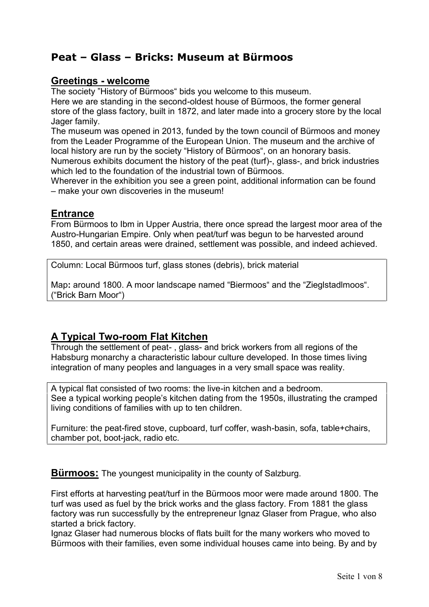# **Peat – Glass – Bricks: Museum at Bürmoos**

# **Greetings - welcome**

The society "History of Bürmoos" bids you welcome to this museum.

Here we are standing in the second-oldest house of Bürmoos, the former general store of the glass factory, built in 1872, and later made into a grocery store by the local Jager family.

The museum was opened in 2013, funded by the town council of Bürmoos and money from the Leader Programme of the European Union. The museum and the archive of local history are run by the society "History of Bürmoos", on an honorary basis. Numerous exhibits document the history of the peat (turf)-, glass-, and brick industries which led to the foundation of the industrial town of Bürmoos.

Wherever in the exhibition you see a green point, additional information can be found – make your own discoveries in the museum!

# **Entrance**

From Bürmoos to Ibm in Upper Austria, there once spread the largest moor area of the Austro-Hungarian Empire. Only when peat/turf was begun to be harvested around 1850, and certain areas were drained, settlement was possible, and indeed achieved.

Column: Local Bürmoos turf, glass stones (debris), brick material

Map: around 1800. A moor landscape named "Biermoos" and the "ZieglstadImoos". ("Brick Barn Moor")

# **A Typical Two-room Flat Kitchen**

Through the settlement of peat- , glass- and brick workers from all regions of the Habsburg monarchy a characteristic labour culture developed. In those times living integration of many peoples and languages in a very small space was reality.

A typical flat consisted of two rooms: the live-in kitchen and a bedroom. See a typical working people's kitchen dating from the 1950s, illustrating the cramped living conditions of families with up to ten children.

Furniture: the peat-fired stove, cupboard, turf coffer, wash-basin, sofa, table+chairs, chamber pot, boot-jack, radio etc.

**Bürmoos:** The youngest municipality in the county of Salzburg.

First efforts at harvesting peat/turf in the Bürmoos moor were made around 1800. The turf was used as fuel by the brick works and the glass factory. From 1881 the glass factory was run successfully by the entrepreneur Ignaz Glaser from Prague, who also started a brick factory.

Ignaz Glaser had numerous blocks of flats built for the many workers who moved to Bürmoos with their families, even some individual houses came into being. By and by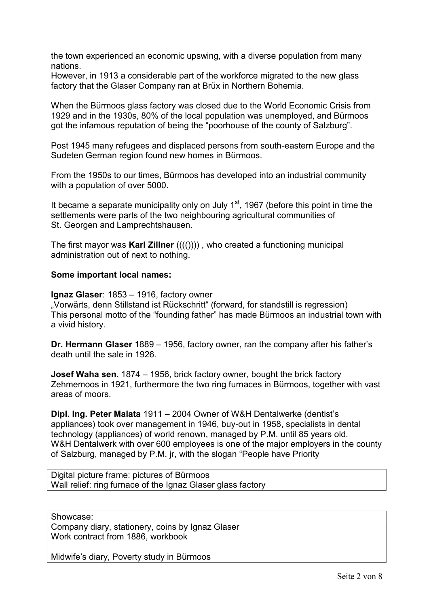the town experienced an economic upswing, with a diverse population from many nations.

However, in 1913 a considerable part of the workforce migrated to the new glass factory that the Glaser Company ran at Brüx in Northern Bohemia.

When the Bürmoos glass factory was closed due to the World Economic Crisis from 1929 and in the 1930s, 80% of the local population was unemployed, and Bürmoos got the infamous reputation of being the "poorhouse of the county of Salzburg".

Post 1945 many refugees and displaced persons from south-eastern Europe and the Sudeten German region found new homes in Bürmoos.

From the 1950s to our times, Bürmoos has developed into an industrial community with a population of over 5000.

It became a separate municipality only on July  $1<sup>st</sup>$ , 1967 (before this point in time the settlements were parts of the two neighbouring agricultural communities of St. Georgen and Lamprechtshausen.

The first mayor was **Karl Zillner** (((()))) , who created a functioning municipal administration out of next to nothing.

#### **Some important local names:**

**Ignaz Glaser**: 1853 – 1916, factory owner

"Vorwärts, denn Stillstand ist Rückschritt" (forward, for standstill is regression) This personal motto of the "founding father" has made Bürmoos an industrial town with a vivid history.

**Dr. Hermann Glaser** 1889 – 1956, factory owner, ran the company after his father's death until the sale in 1926.

**Josef Waha sen.** 1874 – 1956, brick factory owner, bought the brick factory Zehmemoos in 1921, furthermore the two ring furnaces in Bürmoos, together with vast areas of moors.

**Dipl. Ing. Peter Malata** 1911 – 2004 Owner of W&H Dentalwerke (dentist's appliances) took over management in 1946, buy-out in 1958, specialists in dental technology (appliances) of world renown, managed by P.M. until 85 years old. W&H Dentalwerk with over 600 employees is one of the major employers in the county of Salzburg, managed by P.M. jr, with the slogan "People have Priority

Digital picture frame: pictures of Bürmoos Wall relief: ring furnace of the Ignaz Glaser glass factory

Showcase:

Company diary, stationery, coins by Ignaz Glaser Work contract from 1886, workbook

Midwife's diary, Poverty study in Bürmoos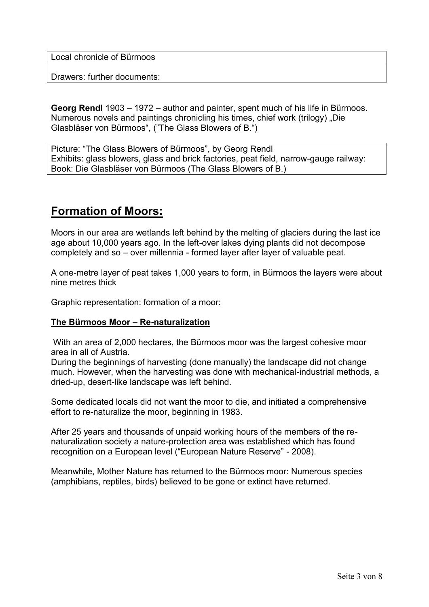Local chronicle of Bürmoos

Drawers: further documents:

**Georg Rendl** 1903 – 1972 – author and painter, spent much of his life in Bürmoos. Numerous novels and paintings chronicling his times, chief work (trilogy) "Die Glasbläser von Bürmoos", ("The Glass Blowers of B.")

Picture: "The Glass Blowers of Bürmoos", by Georg Rendl Exhibits: glass blowers, glass and brick factories, peat field, narrow-gauge railway: Book: Die Glasbläser von Bürmoos (The Glass Blowers of B.)

# **Formation of Moors:**

Moors in our area are wetlands left behind by the melting of glaciers during the last ice age about 10,000 years ago. In the left-over lakes dying plants did not decompose completely and so – over millennia - formed layer after layer of valuable peat.

A one-metre layer of peat takes 1,000 years to form, in Bürmoos the layers were about nine metres thick

Graphic representation: formation of a moor:

### **The Bürmoos Moor – Re-naturalization**

 With an area of 2,000 hectares, the Bürmoos moor was the largest cohesive moor area in all of Austria.

During the beginnings of harvesting (done manually) the landscape did not change much. However, when the harvesting was done with mechanical-industrial methods, a dried-up, desert-like landscape was left behind.

Some dedicated locals did not want the moor to die, and initiated a comprehensive effort to re-naturalize the moor, beginning in 1983.

After 25 years and thousands of unpaid working hours of the members of the re naturalization society a nature-protection area was established which has found recognition on a European level ("European Nature Reserve" - 2008).

Meanwhile, Mother Nature has returned to the Bürmoos moor: Numerous species (amphibians, reptiles, birds) believed to be gone or extinct have returned.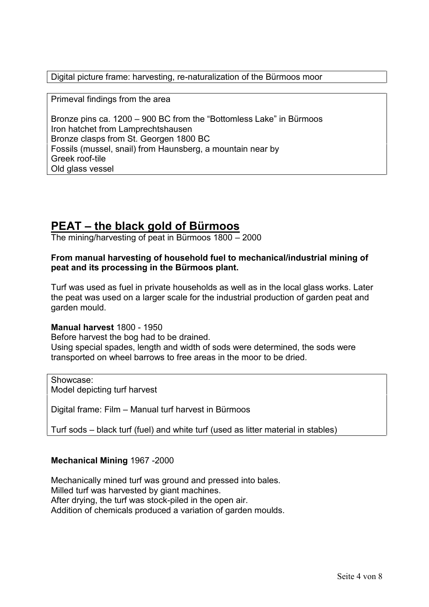Digital picture frame: harvesting, re-naturalization of the Bürmoos moor

Primeval findings from the area

Bronze pins ca. 1200 – 900 BC from the "Bottomless Lake" in Bürmoos Iron hatchet from Lamprechtshausen Bronze clasps from St. Georgen 1800 BC Fossils (mussel, snail) from Haunsberg, a mountain near by Greek roof-tile Old glass vessel

# **PEAT – the black gold of Bürmoos**

The mining/harvesting of peat in Bürmoos 1800 – 2000

# **From manual harvesting of household fuel to mechanical/industrial mining of peat and its processing in the Bürmoos plant.**

Turf was used as fuel in private households as well as in the local glass works. Later the peat was used on a larger scale for the industrial production of garden peat and garden mould.

### **Manual harvest** 1800 - 1950

Before harvest the bog had to be drained. Using special spades, length and width of sods were determined, the sods were transported on wheel barrows to free areas in the moor to be dried.

Showcase: Model depicting turf harvest

Digital frame: Film – Manual turf harvest in Bürmoos

Turf sods – black turf (fuel) and white turf (used as litter material in stables)

### **Mechanical Mining** 1967 -2000

Mechanically mined turf was ground and pressed into bales. Milled turf was harvested by giant machines. After drying, the turf was stock-piled in the open air. Addition of chemicals produced a variation of garden moulds.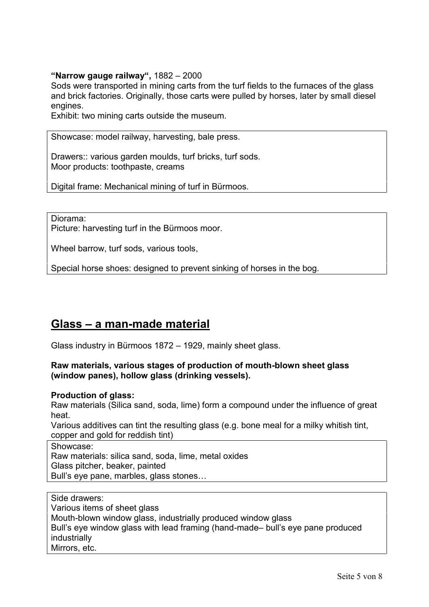## **"Narrow gauge railway",** 1882 – 2000

Sods were transported in mining carts from the turf fields to the furnaces of the glass and brick factories. Originally, those carts were pulled by horses, later by small diesel engines.

Exhibit: two mining carts outside the museum.

Showcase: model railway, harvesting, bale press.

Drawers:: various garden moulds, turf bricks, turf sods. Moor products: toothpaste, creams

Digital frame: Mechanical mining of turf in Bürmoos.

Diorama: Picture: harvesting turf in the Bürmoos moor.

Wheel barrow, turf sods, various tools,

Special horse shoes: designed to prevent sinking of horses in the bog.

# **Glass – a man-made material**

Glass industry in Bürmoos 1872 – 1929, mainly sheet glass.

### **Raw materials, various stages of production of mouth-blown sheet glass (window panes), hollow glass (drinking vessels).**

### **Production of glass:**

Raw materials (Silica sand, soda, lime) form a compound under the influence of great heat.

Various additives can tint the resulting glass (e.g. bone meal for a milky whitish tint, copper and gold for reddish tint)

Showcase:

Raw materials: silica sand, soda, lime, metal oxides Glass pitcher, beaker, painted Bull's eye pane, marbles, glass stones…

Side drawers: Various items of sheet glass Mouth-blown window glass, industrially produced window glass Bull's eye window glass with lead framing (hand-made– bull's eye pane produced industrially Mirrors, etc.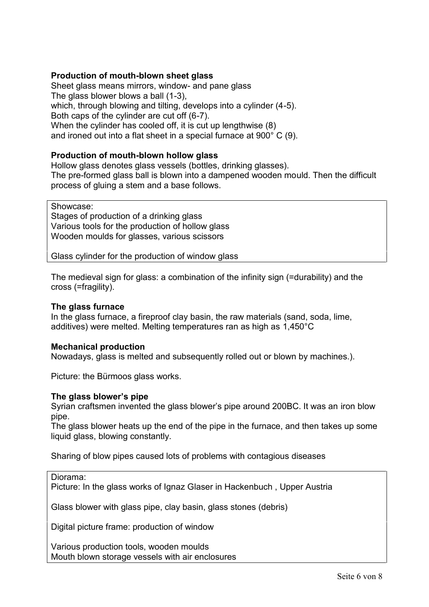## **Production of mouth-blown sheet glass**

Sheet glass means mirrors, window- and pane glass The glass blower blows a ball (1-3), which, through blowing and tilting, develops into a cylinder (4-5). Both caps of the cylinder are cut off (6-7). When the cylinder has cooled off, it is cut up lengthwise (8) and ironed out into a flat sheet in a special furnace at 900° C (9).

#### **Production of mouth-blown hollow glass**

Hollow glass denotes glass vessels (bottles, drinking glasses). The pre-formed glass ball is blown into a dampened wooden mould. Then the difficult process of gluing a stem and a base follows.

Showcase: Stages of production of a drinking glass Various tools for the production of hollow glass Wooden moulds for glasses, various scissors

Glass cylinder for the production of window glass

The medieval sign for glass: a combination of the infinity sign (=durability) and the cross (=fragility).

#### **The glass furnace**

In the glass furnace, a fireproof clay basin, the raw materials (sand, soda, lime, additives) were melted. Melting temperatures ran as high as 1,450°C

#### **Mechanical production**

Nowadays, glass is melted and subsequently rolled out or blown by machines.).

Picture: the Bürmoos glass works.

#### **The glass blower's pipe**

Syrian craftsmen invented the glass blower's pipe around 200BC. It was an iron blow pipe.

The glass blower heats up the end of the pipe in the furnace, and then takes up some liquid glass, blowing constantly.

Sharing of blow pipes caused lots of problems with contagious diseases

Diorama:

Picture: In the glass works of Ignaz Glaser in Hackenbuch , Upper Austria

Glass blower with glass pipe, clay basin, glass stones (debris)

Digital picture frame: production of window

Various production tools, wooden moulds Mouth blown storage vessels with air enclosures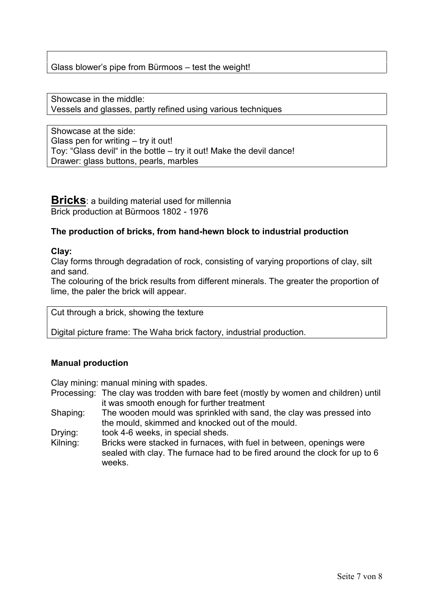# Glass blower's pipe from Bürmoos – test the weight!

Showcase in the middle: Vessels and glasses, partly refined using various techniques

Showcase at the side: Glass pen for writing – try it out! Toy: "Glass devil" in the bottle – try it out! Make the devil dance! Drawer: glass buttons, pearls, marbles

**Bricks**: a building material used for millennia Brick production at Bürmoos 1802 - 1976

### **The production of bricks, from hand-hewn block to industrial production**

#### **Clay:**

Clay forms through degradation of rock, consisting of varying proportions of clay, silt and sand.

The colouring of the brick results from different minerals. The greater the proportion of lime, the paler the brick will appear.

Cut through a brick, showing the texture

Digital picture frame: The Waha brick factory, industrial production.

# **Manual production**

Clay mining: manual mining with spades.

- Processing: The clay was trodden with bare feet (mostly by women and children) until it was smooth enough for further treatment
- Shaping: The wooden mould was sprinkled with sand, the clay was pressed into the mould, skimmed and knocked out of the mould.
- Drying: took 4-6 weeks, in special sheds.
- Kilning: Bricks were stacked in furnaces, with fuel in between, openings were sealed with clay. The furnace had to be fired around the clock for up to 6 weeks.